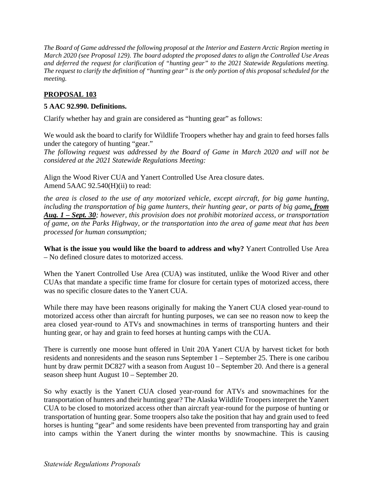*The Board of Game addressed the following proposal at the Interior and Eastern Arctic Region meeting in March 2020 (see Proposal 129). The board adopted the proposed dates to align the Controlled Use Areas and deferred the request for clarification of "hunting gear" to the 2021 Statewide Regulations meeting. The request to clarify the definition of "hunting gear" is the only portion of this proposal scheduled for the meeting.* 

## **PROPOSAL 103**

## **5 AAC 92.990. Definitions.**

Clarify whether hay and grain are considered as "hunting gear" as follows:

We would ask the board to clarify for Wildlife Troopers whether hay and grain to feed horses falls under the category of hunting "gear."

*The following request was addressed by the Board of Game in March 2020 and will not be considered at the 2021 Statewide Regulations Meeting:* 

Align the Wood River CUA and Yanert Controlled Use Area closure dates. Amend 5AAC 92.540(H)(ii) to read:

*the area is closed to the use of any motorized vehicle, except aircraft, for big game hunting, including the transportation of big game hunters, their hunting gear, or parts of big game, from Aug. 1 – Sept. 30; however, this provision does not prohibit motorized access, or transportation of game, on the Parks Highway, or the transportation into the area of game meat that has been processed for human consumption;* 

**What is the issue you would like the board to address and why?** Yanert Controlled Use Area – No defined closure dates to motorized access.

When the Yanert Controlled Use Area (CUA) was instituted, unlike the Wood River and other CUAs that mandate a specific time frame for closure for certain types of motorized access, there was no specific closure dates to the Yanert CUA.

While there may have been reasons originally for making the Yanert CUA closed year-round to motorized access other than aircraft for hunting purposes, we can see no reason now to keep the area closed year-round to ATVs and snowmachines in terms of transporting hunters and their hunting gear, or hay and grain to feed horses at hunting camps with the CUA.

There is currently one moose hunt offered in Unit 20A Yanert CUA by harvest ticket for both residents and nonresidents and the season runs September 1 – September 25. There is one caribou hunt by draw permit DC827 with a season from August 10 – September 20. And there is a general season sheep hunt August 10 – September 20.

So why exactly is the Yanert CUA closed year-round for ATVs and snowmachines for the transportation of hunters and their hunting gear? The Alaska Wildlife Troopers interpret the Yanert CUA to be closed to motorized access other than aircraft year-round for the purpose of hunting or transportation of hunting gear. Some troopers also take the position that hay and grain used to feed horses is hunting "gear" and some residents have been prevented from transporting hay and grain into camps within the Yanert during the winter months by snowmachine. This is causing